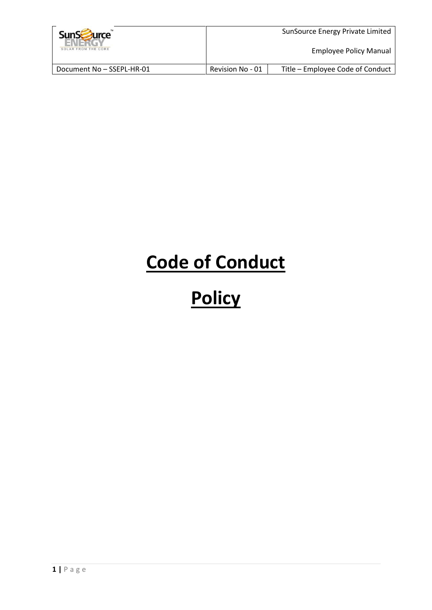| <b>SunSE</b><br><b>Jurce</b><br>SOLAR FROM THE CORE |                  | SunSource Energy Private Limited<br><b>Employee Policy Manual</b> |
|-----------------------------------------------------|------------------|-------------------------------------------------------------------|
| Document No - SSEPL-HR-01                           | Revision No - 01 | Title – Employee Code of Conduct                                  |

# **Code of Conduct**

# **Policy**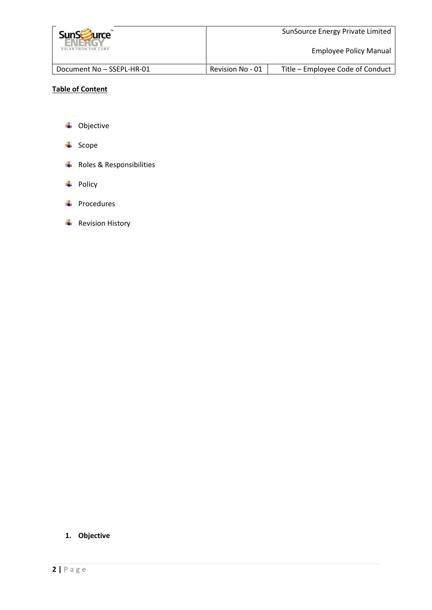| <b>SunScruite</b><br>SOLAR FROM THE CORE |                  | SunSource Energy Private Limited<br><b>Employee Policy Manual</b> |
|------------------------------------------|------------------|-------------------------------------------------------------------|
| Document No - SSEPL-HR-01                | Revision No - 01 | Title – Employee Code of Conduct                                  |

# **Table of Content**

- **↓** Objective
- $\leftarrow$  Scope
- **↓** Roles & Responsibilities
- $\overline{\phantom{a}}$  Policy
- $\leftarrow$  Procedures
- $\overline{\textbf{F}}$  Revision History

# **1. Objective**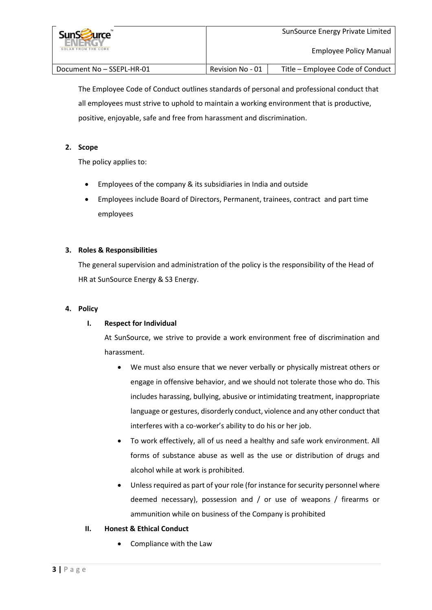| <b>SunScruitce</b><br>SOLAR FROM THE CORE |                  | SunSource Energy Private Limited<br>Employee Policy Manual |
|-------------------------------------------|------------------|------------------------------------------------------------|
| Document No - SSEPL-HR-01                 | Revision No - 01 | Title – Employee Code of Conduct                           |

The Employee Code of Conduct outlines standards of personal and professional conduct that all employees must strive to uphold to maintain a working environment that is productive, positive, enjoyable, safe and free from harassment and discrimination.

# **2. Scope**

The policy applies to:

- Employees of the company & its subsidiaries in India and outside
- Employees include Board of Directors, Permanent, trainees, contract and part time employees

# **3. Roles & Responsibilities**

The general supervision and administration of the policy is the responsibility of the Head of HR at SunSource Energy & S3 Energy.

# **4. Policy**

# **I. Respect for Individual**

At SunSource, we strive to provide a work environment free of discrimination and harassment.

- We must also ensure that we never verbally or physically mistreat others or engage in offensive behavior, and we should not tolerate those who do. This includes harassing, bullying, abusive or intimidating treatment, inappropriate language or gestures, disorderly conduct, violence and any other conduct that interferes with a co-worker's ability to do his or her job.
- To work effectively, all of us need a healthy and safe work environment. All forms of substance abuse as well as the use or distribution of drugs and alcohol while at work is prohibited.
- Unless required as part of your role (for instance for security personnel where deemed necessary), possession and / or use of weapons / firearms or ammunition while on business of the Company is prohibited

# **II. Honest & Ethical Conduct**

• Compliance with the Law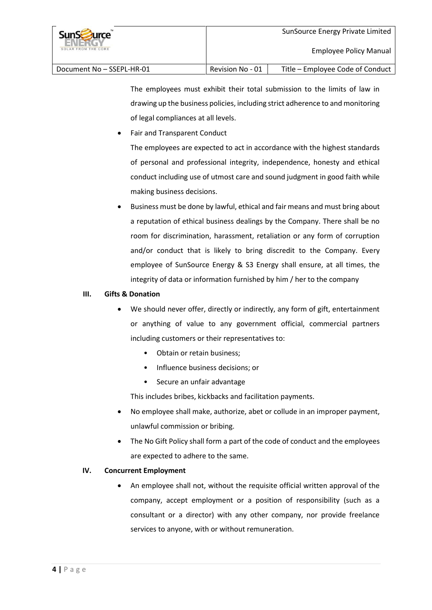| <b>SunScruite</b><br>SOLAR FROM THE CORE |                  | SunSource Energy Private Limited<br>Employee Policy Manual |
|------------------------------------------|------------------|------------------------------------------------------------|
| Document No - SSEPL-HR-01                | Revision No - 01 | Title – Employee Code of Conduct                           |

The employees must exhibit their total submission to the limits of law in drawing up the business policies, including strict adherence to and monitoring of legal compliances at all levels.

Fair and Transparent Conduct

The employees are expected to act in accordance with the highest standards of personal and professional integrity, independence, honesty and ethical conduct including use of utmost care and sound judgment in good faith while making business decisions.

 Business must be done by lawful, ethical and fair means and must bring about a reputation of ethical business dealings by the Company. There shall be no room for discrimination, harassment, retaliation or any form of corruption and/or conduct that is likely to bring discredit to the Company. Every employee of SunSource Energy & S3 Energy shall ensure, at all times, the integrity of data or information furnished by him / her to the company

# **III. Gifts & Donation**

- We should never offer, directly or indirectly, any form of gift, entertainment or anything of value to any government official, commercial partners including customers or their representatives to:
	- Obtain or retain business;
	- Influence business decisions; or
	- Secure an unfair advantage

This includes bribes, kickbacks and facilitation payments.

- No employee shall make, authorize, abet or collude in an improper payment, unlawful commission or bribing.
- The No Gift Policy shall form a part of the code of conduct and the employees are expected to adhere to the same.

# **IV. Concurrent Employment**

 An employee shall not, without the requisite official written approval of the company, accept employment or a position of responsibility (such as a consultant or a director) with any other company, nor provide freelance services to anyone, with or without remuneration.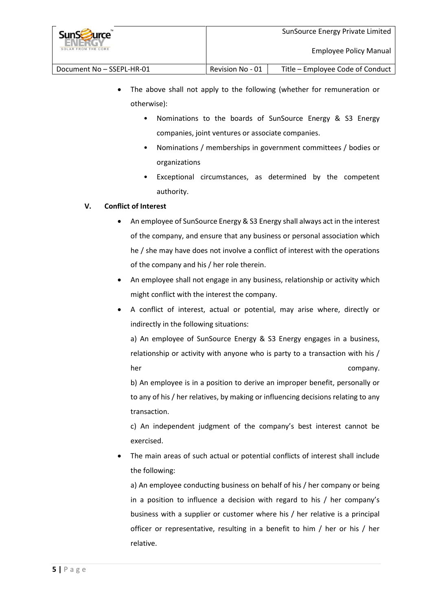| <b>SunSzurce</b><br>SOLAR FROM THE CORE |                  | SunSource Energy Private Limited<br>Employee Policy Manual |
|-----------------------------------------|------------------|------------------------------------------------------------|
| Document No - SSEPL-HR-01               | Revision No - 01 | Title - Employee Code of Conduct                           |

- The above shall not apply to the following (whether for remuneration or otherwise):
	- Nominations to the boards of SunSource Energy & S3 Energy companies, joint ventures or associate companies.
	- Nominations / memberships in government committees / bodies or organizations
	- Exceptional circumstances, as determined by the competent authority.

# **V. Conflict of Interest**

- An employee of SunSource Energy & S3 Energy shall always act in the interest of the company, and ensure that any business or personal association which he / she may have does not involve a conflict of interest with the operations of the company and his / her role therein.
- An employee shall not engage in any business, relationship or activity which might conflict with the interest the company.
- A conflict of interest, actual or potential, may arise where, directly or indirectly in the following situations:

a) An employee of SunSource Energy & S3 Energy engages in a business, relationship or activity with anyone who is party to a transaction with his / her company.

b) An employee is in a position to derive an improper benefit, personally or to any of his / her relatives, by making or influencing decisions relating to any transaction.

c) An independent judgment of the company's best interest cannot be exercised.

 The main areas of such actual or potential conflicts of interest shall include the following:

a) An employee conducting business on behalf of his / her company or being in a position to influence a decision with regard to his / her company's business with a supplier or customer where his / her relative is a principal officer or representative, resulting in a benefit to him / her or his / her relative.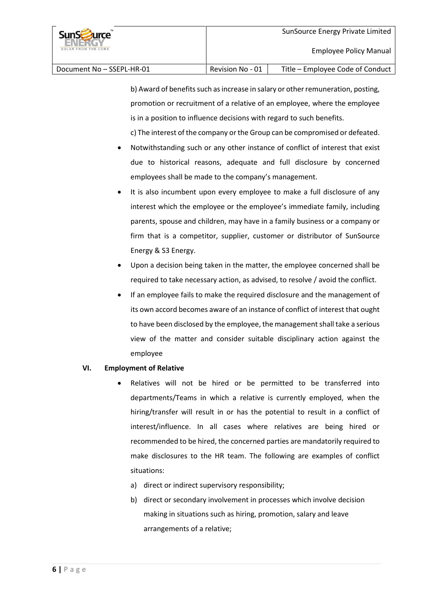Document No – SSEPL-HR-01 Revision No - 01 Title – Employee Code of Conduct

b) Award of benefits such as increase in salary or other remuneration, posting, promotion or recruitment of a relative of an employee, where the employee is in a position to influence decisions with regard to such benefits. c) The interest of the company or the Group can be compromised or defeated.

- Notwithstanding such or any other instance of conflict of interest that exist due to historical reasons, adequate and full disclosure by concerned employees shall be made to the company's management.
- It is also incumbent upon every employee to make a full disclosure of any interest which the employee or the employee's immediate family, including parents, spouse and children, may have in a family business or a company or firm that is a competitor, supplier, customer or distributor of SunSource Energy & S3 Energy.
- Upon a decision being taken in the matter, the employee concerned shall be required to take necessary action, as advised, to resolve / avoid the conflict.
- If an employee fails to make the required disclosure and the management of its own accord becomes aware of an instance of conflict of interest that ought to have been disclosed by the employee, the management shall take a serious view of the matter and consider suitable disciplinary action against the employee

# **VI. Employment of Relative**

- Relatives will not be hired or be permitted to be transferred into departments/Teams in which a relative is currently employed, when the hiring/transfer will result in or has the potential to result in a conflict of interest/influence. In all cases where relatives are being hired or recommended to be hired, the concerned parties are mandatorily required to make disclosures to the HR team. The following are examples of conflict situations:
	- a) direct or indirect supervisory responsibility;
	- b) direct or secondary involvement in processes which involve decision making in situations such as hiring, promotion, salary and leave arrangements of a relative;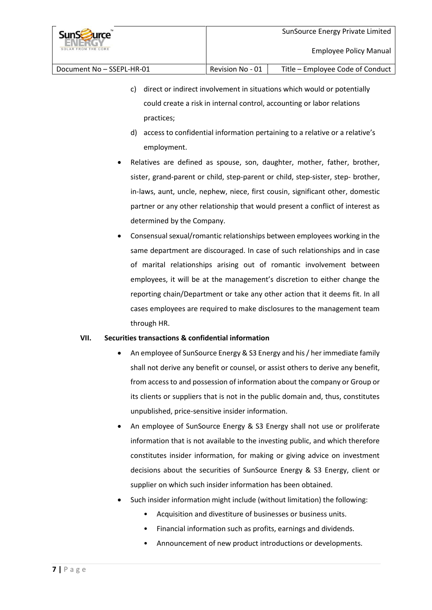- c) direct or indirect involvement in situations which would or potentially could create a risk in internal control, accounting or labor relations practices;
	- d) access to confidential information pertaining to a relative or a relative's employment.
- Relatives are defined as spouse, son, daughter, mother, father, brother, sister, grand-parent or child, step-parent or child, step-sister, step- brother, in-laws, aunt, uncle, nephew, niece, first cousin, significant other, domestic partner or any other relationship that would present a conflict of interest as determined by the Company.
- Consensual sexual/romantic relationships between employees working in the same department are discouraged. In case of such relationships and in case of marital relationships arising out of romantic involvement between employees, it will be at the management's discretion to either change the reporting chain/Department or take any other action that it deems fit. In all cases employees are required to make disclosures to the management team through HR.

# **VII. Securities transactions & confidential information**

- An employee of SunSource Energy & S3 Energy and his / her immediate family shall not derive any benefit or counsel, or assist others to derive any benefit, from access to and possession of information about the company or Group or its clients or suppliers that is not in the public domain and, thus, constitutes unpublished, price-sensitive insider information.
- An employee of SunSource Energy & S3 Energy shall not use or proliferate information that is not available to the investing public, and which therefore constitutes insider information, for making or giving advice on investment decisions about the securities of SunSource Energy & S3 Energy, client or supplier on which such insider information has been obtained.
- Such insider information might include (without limitation) the following:
	- Acquisition and divestiture of businesses or business units.
	- Financial information such as profits, earnings and dividends.
	- Announcement of new product introductions or developments.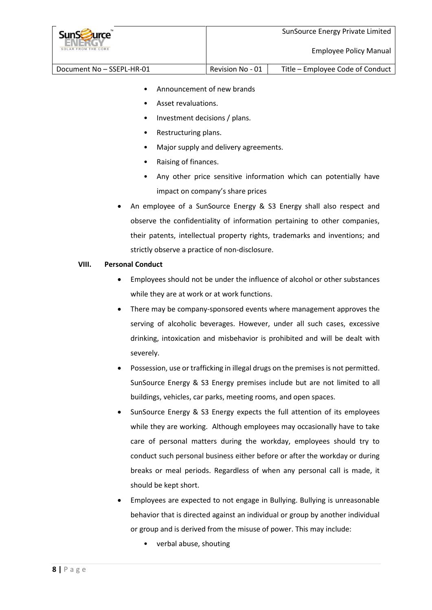| <b>SunSzurce</b><br>SOLAR FROM THE CORE |                  | SunSource Energy Private Limited<br><b>Employee Policy Manual</b> |
|-----------------------------------------|------------------|-------------------------------------------------------------------|
| Document No - SSEPL-HR-01               | Revision No - 01 | Title - Employee Code of Conduct                                  |

- Announcement of new brands
- Asset revaluations.
- Investment decisions / plans.
- Restructuring plans.
- Major supply and delivery agreements.
- Raising of finances.
- Any other price sensitive information which can potentially have impact on company's share prices
- An employee of a SunSource Energy & S3 Energy shall also respect and observe the confidentiality of information pertaining to other companies, their patents, intellectual property rights, trademarks and inventions; and strictly observe a practice of non-disclosure.

## **VIII. Personal Conduct**

- Employees should not be under the influence of alcohol or other substances while they are at work or at work functions.
- There may be company-sponsored events where management approves the serving of alcoholic beverages. However, under all such cases, excessive drinking, intoxication and misbehavior is prohibited and will be dealt with severely.
- Possession, use or trafficking in illegal drugs on the premises is not permitted. SunSource Energy & S3 Energy premises include but are not limited to all buildings, vehicles, car parks, meeting rooms, and open spaces.
- SunSource Energy & S3 Energy expects the full attention of its employees while they are working. Although employees may occasionally have to take care of personal matters during the workday, employees should try to conduct such personal business either before or after the workday or during breaks or meal periods. Regardless of when any personal call is made, it should be kept short.
- Employees are expected to not engage in Bullying. Bullying is unreasonable behavior that is directed against an individual or group by another individual or group and is derived from the misuse of power. This may include:
	- verbal abuse, shouting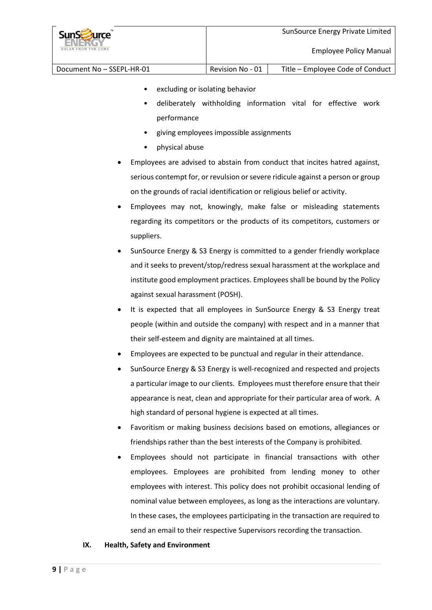| <b>SunSE</b><br><b>Jurce</b><br>SOLAR FROM THE CORE |                  | SunSource Energy Private Limited<br><b>Employee Policy Manual</b> |
|-----------------------------------------------------|------------------|-------------------------------------------------------------------|
| Document No - SSEPL-HR-01                           | Revision No - 01 | Title - Employee Code of Conduct                                  |

- excluding or isolating behavior
- deliberately withholding information vital for effective work performance
- giving employees impossible assignments
- physical abuse
- Employees are advised to abstain from conduct that incites hatred against, serious contempt for, or revulsion or severe ridicule against a person or group on the grounds of racial identification or religious belief or activity.
- Employees may not, knowingly, make false or misleading statements regarding its competitors or the products of its competitors, customers or suppliers.
- SunSource Energy & S3 Energy is committed to a gender friendly workplace and it seeks to prevent/stop/redress sexual harassment at the workplace and institute good employment practices. Employees shall be bound by the Policy against sexual harassment (POSH).
- It is expected that all employees in SunSource Energy & S3 Energy treat people (within and outside the company) with respect and in a manner that their self-esteem and dignity are maintained at all times.
- Employees are expected to be punctual and regular in their attendance.
- SunSource Energy & S3 Energy is well-recognized and respected and projects a particular image to our clients. Employees must therefore ensure that their appearance is neat, clean and appropriate for their particular area of work. A high standard of personal hygiene is expected at all times.
- Favoritism or making business decisions based on emotions, allegiances or friendships rather than the best interests of the Company is prohibited.
- Employees should not participate in financial transactions with other employees. Employees are prohibited from lending money to other employees with interest. This policy does not prohibit occasional lending of nominal value between employees, as long as the interactions are voluntary. In these cases, the employees participating in the transaction are required to send an email to their respective Supervisors recording the transaction.

# **IX. Health, Safety and Environment**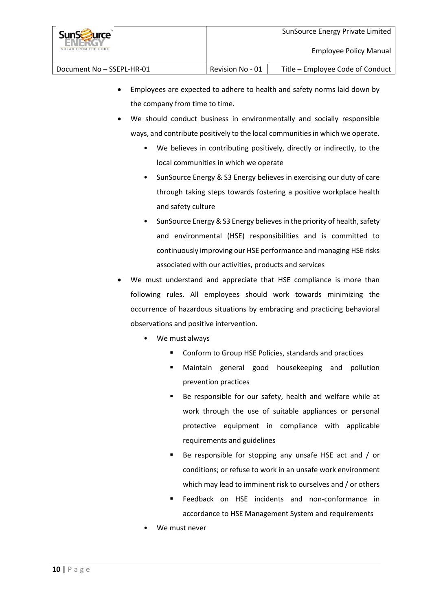

- Employees are expected to adhere to health and safety norms laid down by the company from time to time.
- We should conduct business in environmentally and socially responsible ways, and contribute positively to the local communities in which we operate.
	- We believes in contributing positively, directly or indirectly, to the local communities in which we operate
	- SunSource Energy & S3 Energy believes in exercising our duty of care through taking steps towards fostering a positive workplace health and safety culture
	- SunSource Energy & S3 Energy believes in the priority of health, safety and environmental (HSE) responsibilities and is committed to continuously improving our HSE performance and managing HSE risks associated with our activities, products and services
- We must understand and appreciate that HSE compliance is more than following rules. All employees should work towards minimizing the occurrence of hazardous situations by embracing and practicing behavioral observations and positive intervention.
	- We must always
		- Conform to Group HSE Policies, standards and practices
		- Maintain general good housekeeping and pollution prevention practices
		- Be responsible for our safety, health and welfare while at work through the use of suitable appliances or personal protective equipment in compliance with applicable requirements and guidelines
		- Be responsible for stopping any unsafe HSE act and / or conditions; or refuse to work in an unsafe work environment which may lead to imminent risk to ourselves and / or others
		- Feedback on HSE incidents and non-conformance in accordance to HSE Management System and requirements
	- We must never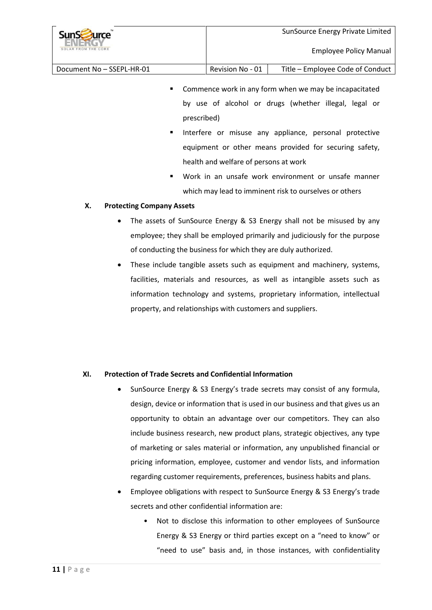| <b>SunStaurce</b><br>SOLAR FROM THE CORE |                  | SunSource Energy Private Limited<br>Employee Policy Manual |
|------------------------------------------|------------------|------------------------------------------------------------|
| Document No - SSEPL-HR-01                | Revision No - 01 | Title - Employee Code of Conduct                           |

- **EXTER** Commence work in any form when we may be incapacitated by use of alcohol or drugs (whether illegal, legal or prescribed)
- Interfere or misuse any appliance, personal protective equipment or other means provided for securing safety, health and welfare of persons at work
- Work in an unsafe work environment or unsafe manner which may lead to imminent risk to ourselves or others

## **X. Protecting Company Assets**

- The assets of SunSource Energy & S3 Energy shall not be misused by any employee; they shall be employed primarily and judiciously for the purpose of conducting the business for which they are duly authorized.
- These include tangible assets such as equipment and machinery, systems, facilities, materials and resources, as well as intangible assets such as information technology and systems, proprietary information, intellectual property, and relationships with customers and suppliers.

# **XI. Protection of Trade Secrets and Confidential Information**

- SunSource Energy & S3 Energy's trade secrets may consist of any formula, design, device or information that is used in our business and that gives us an opportunity to obtain an advantage over our competitors. They can also include business research, new product plans, strategic objectives, any type of marketing or sales material or information, any unpublished financial or pricing information, employee, customer and vendor lists, and information regarding customer requirements, preferences, business habits and plans.
- Employee obligations with respect to SunSource Energy & S3 Energy's trade secrets and other confidential information are:
	- Not to disclose this information to other employees of SunSource Energy & S3 Energy or third parties except on a "need to know" or "need to use" basis and, in those instances, with confidentiality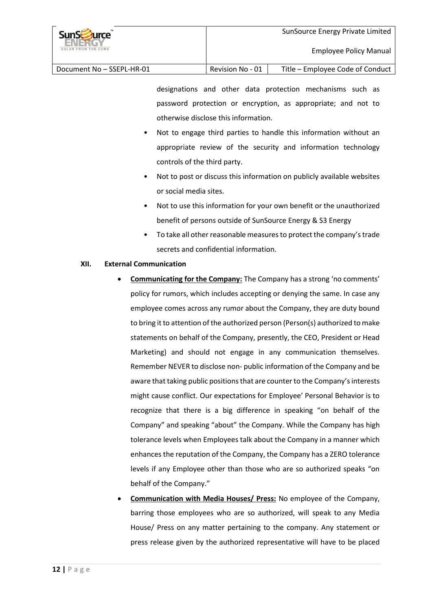| <b>SunScruite</b><br>SOLAR FROM THE CORE |                  | SunSource Energy Private Limited<br>Employee Policy Manual |
|------------------------------------------|------------------|------------------------------------------------------------|
| Document No - SSEPL-HR-01                | Revision No - 01 | Title – Employee Code of Conduct                           |

designations and other data protection mechanisms such as password protection or encryption, as appropriate; and not to otherwise disclose this information.

- Not to engage third parties to handle this information without an appropriate review of the security and information technology controls of the third party.
- Not to post or discuss this information on publicly available websites or social media sites.
- Not to use this information for your own benefit or the unauthorized benefit of persons outside of SunSource Energy & S3 Energy
- To take all other reasonable measures to protect the company'strade secrets and confidential information.

# **XII. External Communication**

- **Communicating for the Company:** The Company has a strong 'no comments' policy for rumors, which includes accepting or denying the same. In case any employee comes across any rumor about the Company, they are duty bound to bring it to attention of the authorized person (Person(s) authorized to make statements on behalf of the Company, presently, the CEO, President or Head Marketing) and should not engage in any communication themselves. Remember NEVER to disclose non‐ public information of the Company and be aware that taking public positions that are counter to the Company's interests might cause conflict. Our expectations for Employee' Personal Behavior is to recognize that there is a big difference in speaking "on behalf of the Company" and speaking "about" the Company. While the Company has high tolerance levels when Employees talk about the Company in a manner which enhances the reputation of the Company, the Company has a ZERO tolerance levels if any Employee other than those who are so authorized speaks "on behalf of the Company."
- **Communication with Media Houses/ Press:** No employee of the Company, barring those employees who are so authorized, will speak to any Media House/ Press on any matter pertaining to the company. Any statement or press release given by the authorized representative will have to be placed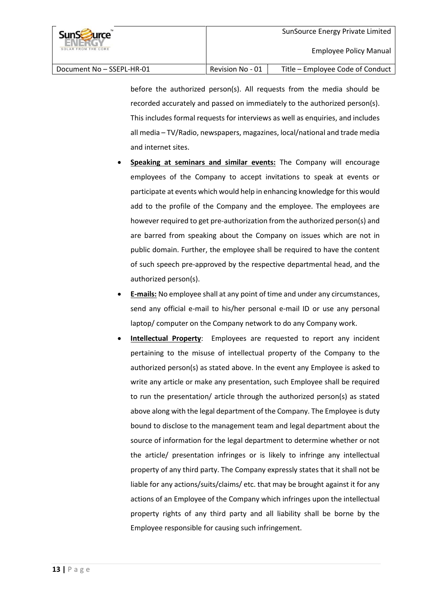Document No – SSEPL-HR-01 Revision No - 01 Title – Employee Code of Conduct

before the authorized person(s). All requests from the media should be recorded accurately and passed on immediately to the authorized person(s). This includes formal requests for interviews as well as enquiries, and includes all media – TV/Radio, newspapers, magazines, local/national and trade media and internet sites.

- **Speaking at seminars and similar events:** The Company will encourage employees of the Company to accept invitations to speak at events or participate at events which would help in enhancing knowledge for this would add to the profile of the Company and the employee. The employees are however required to get pre-authorization from the authorized person(s) and are barred from speaking about the Company on issues which are not in public domain. Further, the employee shall be required to have the content of such speech pre-approved by the respective departmental head, and the authorized person(s).
- **E-mails:** No employee shall at any point of time and under any circumstances, send any official e-mail to his/her personal e-mail ID or use any personal laptop/ computer on the Company network to do any Company work.
- **Intellectual Property**: Employees are requested to report any incident pertaining to the misuse of intellectual property of the Company to the authorized person(s) as stated above. In the event any Employee is asked to write any article or make any presentation, such Employee shall be required to run the presentation/ article through the authorized person(s) as stated above along with the legal department of the Company. The Employee is duty bound to disclose to the management team and legal department about the source of information for the legal department to determine whether or not the article/ presentation infringes or is likely to infringe any intellectual property of any third party. The Company expressly states that it shall not be liable for any actions/suits/claims/ etc. that may be brought against it for any actions of an Employee of the Company which infringes upon the intellectual property rights of any third party and all liability shall be borne by the Employee responsible for causing such infringement.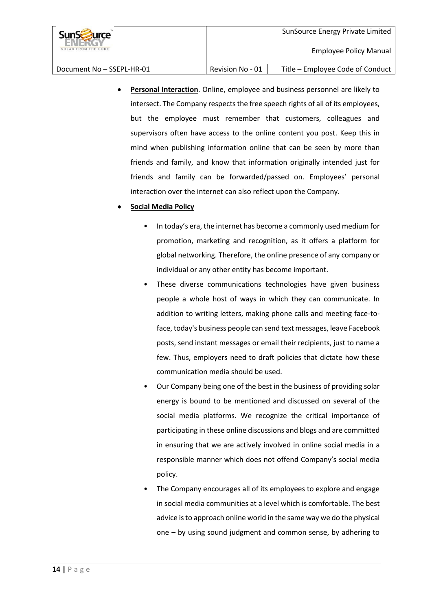**Personal Interaction**. Online, employee and business personnel are likely to intersect. The Company respects the free speech rights of all of its employees, but the employee must remember that customers, colleagues and supervisors often have access to the online content you post. Keep this in mind when publishing information online that can be seen by more than friends and family, and know that information originally intended just for friends and family can be forwarded/passed on. Employees' personal interaction over the internet can also reflect upon the Company.

# **Social Media Policy**

- In today's era, the internet has become a commonly used medium for promotion, marketing and recognition, as it offers a platform for global networking. Therefore, the online presence of any company or individual or any other entity has become important.
- These diverse communications technologies have given business people a whole host of ways in which they can communicate. In addition to writing letters, making phone calls and meeting face-toface, today's business people can send text messages, leave Facebook posts, send instant messages or email their recipients, just to name a few. Thus, employers need to draft policies that dictate how these communication media should be used.
- Our Company being one of the best in the business of providing solar energy is bound to be mentioned and discussed on several of the social media platforms. We recognize the critical importance of participating in these online discussions and blogs and are committed in ensuring that we are actively involved in online social media in a responsible manner which does not offend Company's social media policy.
- The Company encourages all of its employees to explore and engage in social media communities at a level which is comfortable. The best advice is to approach online world in the same way we do the physical one – by using sound judgment and common sense, by adhering to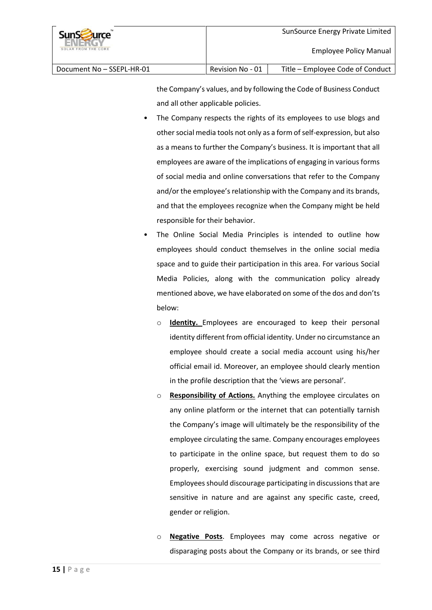the Company's values, and by following the Code of Business Conduct and all other applicable policies.

- The Company respects the rights of its employees to use blogs and other social media tools not only as a form of self-expression, but also as a means to further the Company's business. It is important that all employees are aware of the implications of engaging in various forms of social media and online conversations that refer to the Company and/or the employee's relationship with the Company and its brands, and that the employees recognize when the Company might be held responsible for their behavior.
- The Online Social Media Principles is intended to outline how employees should conduct themselves in the online social media space and to guide their participation in this area. For various Social Media Policies, along with the communication policy already mentioned above, we have elaborated on some of the dos and don'ts below:
	- o **Identity.** Employees are encouraged to keep their personal identity different from official identity. Under no circumstance an employee should create a social media account using his/her official email id. Moreover, an employee should clearly mention in the profile description that the 'views are personal'.
	- o **Responsibility of Actions.** Anything the employee circulates on any online platform or the internet that can potentially tarnish the Company's image will ultimately be the responsibility of the employee circulating the same. Company encourages employees to participate in the online space, but request them to do so properly, exercising sound judgment and common sense. Employees should discourage participating in discussions that are sensitive in nature and are against any specific caste, creed, gender or religion.
	- o **Negative Posts**. Employees may come across negative or disparaging posts about the Company or its brands, or see third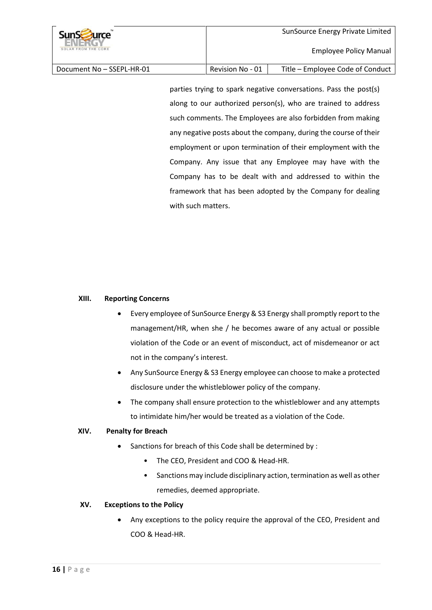| <b>SunSzurce</b><br>SOLAR FROM THE CORE |                  | SunSource Energy Private Limited<br>Employee Policy Manual |
|-----------------------------------------|------------------|------------------------------------------------------------|
| Document No - SSEPL-HR-01               | Revision No - 01 | Title – Employee Code of Conduct                           |

parties trying to spark negative conversations. Pass the post(s) along to our authorized person(s), who are trained to address such comments. The Employees are also forbidden from making any negative posts about the company, during the course of their employment or upon termination of their employment with the Company. Any issue that any Employee may have with the Company has to be dealt with and addressed to within the framework that has been adopted by the Company for dealing with such matters.

## **XIII. Reporting Concerns**

- Every employee of SunSource Energy & S3 Energy shall promptly report to the management/HR, when she / he becomes aware of any actual or possible violation of the Code or an event of misconduct, act of misdemeanor or act not in the company's interest.
- Any SunSource Energy & S3 Energy employee can choose to make a protected disclosure under the whistleblower policy of the company.
- The company shall ensure protection to the whistleblower and any attempts to intimidate him/her would be treated as a violation of the Code.

#### **XIV. Penalty for Breach**

- Sanctions for breach of this Code shall be determined by :
	- The CEO, President and COO & Head-HR.
	- Sanctions may include disciplinary action, termination as well as other remedies, deemed appropriate.

#### **XV. Exceptions to the Policy**

 Any exceptions to the policy require the approval of the CEO, President and COO & Head-HR.